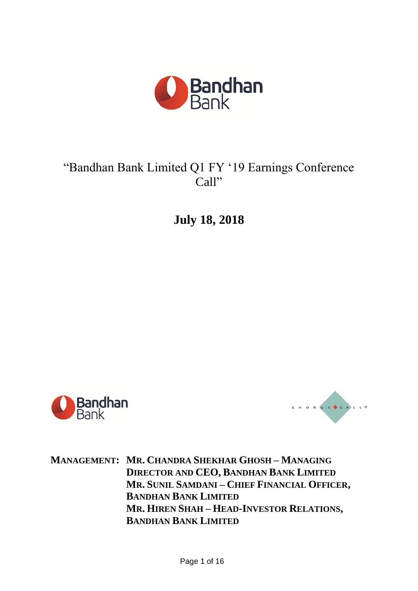

## "Bandhan Bank Limited Q1 FY '19 Earnings Conference Call"

**July 18, 2018**





**MANAGEMENT: MR. CHANDRA SHEKHAR GHOSH – MANAGING DIRECTOR AND CEO, BANDHAN BANK LIMITED MR. SUNIL SAMDANI – CHIEF FINANCIAL OFFICER, BANDHAN BANK LIMITED MR. HIREN SHAH – HEAD-INVESTOR RELATIONS, BANDHAN BANK LIMITED**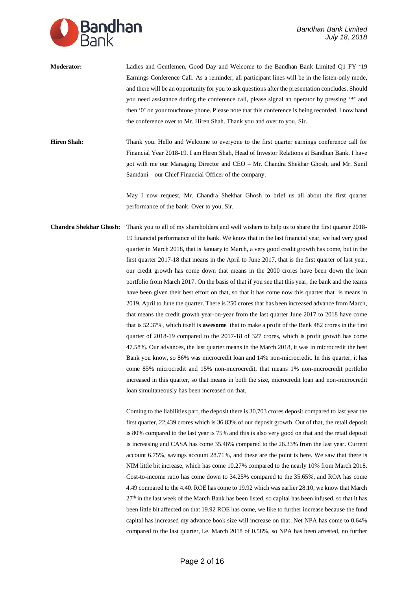

**Moderator:** Ladies and Gentlemen, Good Day and Welcome to the Bandhan Bank Limited Q1 FY '19 Earnings Conference Call. As a reminder, all participant lines will be in the listen-only mode, and there will be an opportunity for you to ask questions after the presentation concludes. Should you need assistance during the conference call, please signal an operator by pressing '\*' and then '0' on your touchtone phone. Please note that this conference is being recorded. I now hand the conference over to Mr. Hiren Shah. Thank you and over to you, Sir.

**Hiren Shah:** Thank you. Hello and Welcome to everyone to the first quarter earnings conference call for Financial Year 2018-19. I am Hiren Shah, Head of Investor Relations at Bandhan Bank. I have got with me our Managing Director and CEO – Mr. Chandra Shekhar Ghosh, and Mr. Sunil Samdani – our Chief Financial Officer of the company.

> May I now request, Mr. Chandra Shekhar Ghosh to brief us all about the first quarter performance of the bank. Over to you, Sir.

**Chandra Shekhar Ghosh:** Thank you to all of my shareholders and well wishers to help us to share the first quarter 2018- 19 financial performance of the bank. We know that in the last financial year, we had very good quarter in March 2018, that is January to March, a very good credit growth has come, but in the first quarter 2017-18 that means in the April to June 2017, that is the first quarter of last year, our credit growth has come down that means in the 2000 crores have been down the loan portfolio from March 2017. On the basis of that if you see that this year, the bank and the teams have been given their best effort on that, so that it has come now this quarter that is means in 2019, April to June the quarter. There is 250 crores that has been increased advance from March, that means the credit growth year-on-year from the last quarter June 2017 to 2018 have come that is 52.37%, which itself is **awesome** that to make a profit of the Bank 482 crores in the first quarter of 2018-19 compared to the 2017-18 of 327 crores, which is profit growth has come 47.58%. Our advances, the last quarter means in the March 2018, it was in microcredit the best Bank you know, so 86% was microcredit loan and 14% non-microcredit. In this quarter, it has come 85% microcredit and 15% non-microcredit, that means 1% non-microcredit portfolio increased in this quarter, so that means in both the size, microcredit loan and non-microcredit loan simultaneously has been increased on that.

> Coming to the liabilities part, the deposit there is 30,703 crores deposit compared to last year the first quarter, 22,439 crores which is 36.83% of our deposit growth. Out of that, the retail deposit is 80% compared to the last year is 75% and this is also very good on that and the retail deposit is increasing and CASA has come 35.46% compared to the 26.33% from the last year. Current account 6.75%, savings account 28.71%, and these are the point is here. We saw that there is NIM little bit increase, which has come 10.27% compared to the nearly 10% from March 2018. Cost-to-income ratio has come down to 34.25% compared to the 35.65%, and ROA has come 4.49 compared to the 4.40. ROE has come to 19.92 which was earlier 28.10, we know that March  $27<sup>th</sup>$  in the last week of the March Bank has been listed, so capital has been infused, so that it has been little bit affected on that 19.92 ROE has come, we like to further increase because the fund capital has increased my advance book size will increase on that. Net NPA has come to 0.64% compared to the last quarter, i.e. March 2018 of 0.58%, so NPA has been arrested, no further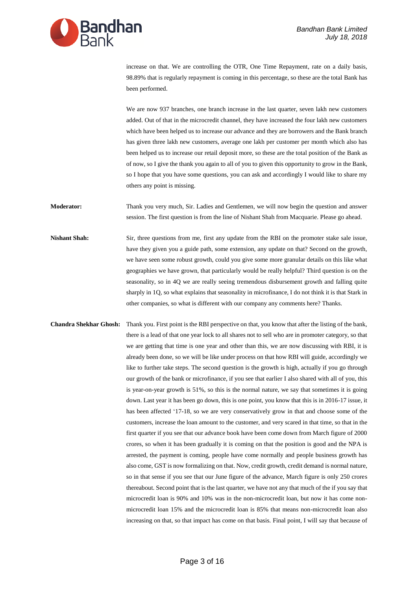

increase on that. We are controlling the OTR, One Time Repayment, rate on a daily basis, 98.89% that is regularly repayment is coming in this percentage, so these are the total Bank has been performed.

We are now 937 branches, one branch increase in the last quarter, seven lakh new customers added. Out of that in the microcredit channel, they have increased the four lakh new customers which have been helped us to increase our advance and they are borrowers and the Bank branch has given three lakh new customers, average one lakh per customer per month which also has been helped us to increase our retail deposit more, so these are the total position of the Bank as of now, so I give the thank you again to all of you to given this opportunity to grow in the Bank, so I hope that you have some questions, you can ask and accordingly I would like to share my others any point is missing.

**Moderator:** Thank you very much, Sir. Ladies and Gentlemen, we will now begin the question and answer session. The first question is from the line of Nishant Shah from Macquarie. Please go ahead.

**Nishant Shah:** Sir, three questions from me, first any update from the RBI on the promoter stake sale issue, have they given you a guide path, some extension, any update on that? Second on the growth, we have seen some robust growth, could you give some more granular details on this like what geographies we have grown, that particularly would be really helpful? Third question is on the seasonality, so in 4Q we are really seeing tremendous disbursement growth and falling quite sharply in 1Q, so what explains that seasonality in microfinance, I do not think it is that Stark in other companies, so what is different with our company any comments here? Thanks.

**Chandra Shekhar Ghosh:** Thank you. First point is the RBI perspective on that, you know that after the listing of the bank, there is a lead of that one year lock to all shares not to sell who are in promoter category, so that we are getting that time is one year and other than this, we are now discussing with RBI, it is already been done, so we will be like under process on that how RBI will guide, accordingly we like to further take steps. The second question is the growth is high, actually if you go through our growth of the bank or microfinance, if you see that earlier I also shared with all of you, this is year-on-year growth is 51%, so this is the normal nature, we say that sometimes it is going down. Last year it has been go down, this is one point, you know that this is in 2016-17 issue, it has been affected '17-18, so we are very conservatively grow in that and choose some of the customers, increase the loan amount to the customer, and very scared in that time, so that in the first quarter if you see that our advance book have been come down from March figure of 2000 crores, so when it has been gradually it is coming on that the position is good and the NPA is arrested, the payment is coming, people have come normally and people business growth has also come, GST is now formalizing on that. Now, credit growth, credit demand is normal nature, so in that sense if you see that our June figure of the advance, March figure is only 250 crores thereabout. Second point that is the last quarter, we have not any that much of the if you say that microcredit loan is 90% and 10% was in the non-microcredit loan, but now it has come nonmicrocredit loan 15% and the microcredit loan is 85% that means non-microcredit loan also increasing on that, so that impact has come on that basis. Final point, I will say that because of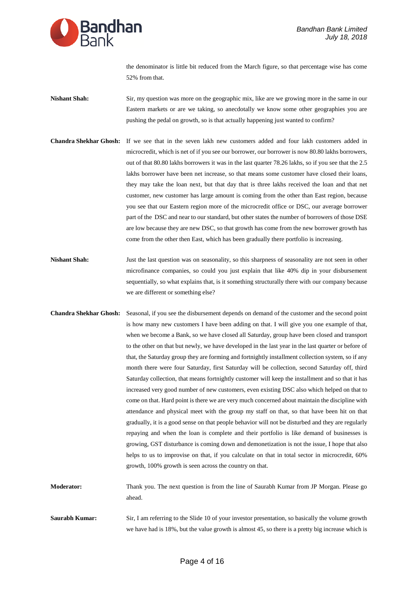

the denominator is little bit reduced from the March figure, so that percentage wise has come 52% from that.

- **Nishant Shah:** Sir, my question was more on the geographic mix, like are we growing more in the same in our Eastern markets or are we taking, so anecdotally we know some other geographies you are pushing the pedal on growth, so is that actually happening just wanted to confirm?
- **Chandra Shekhar Ghosh:** If we see that in the seven lakh new customers added and four lakh customers added in microcredit, which is net of if you see our borrower, our borrower is now 80.80 lakhs borrowers, out of that 80.80 lakhs borrowers it was in the last quarter 78.26 lakhs, so if you see that the 2.5 lakhs borrower have been net increase, so that means some customer have closed their loans, they may take the loan next, but that day that is three lakhs received the loan and that net customer, new customer has large amount is coming from the other than East region, because you see that our Eastern region more of the microcredit office or DSC, our average borrower part of the DSC and near to our standard, but other states the number of borrowers of those DSE are low because they are new DSC, so that growth has come from the new borrower growth has come from the other then East, which has been gradually there portfolio is increasing.
- **Nishant Shah:** Just the last question was on seasonality, so this sharpness of seasonality are not seen in other microfinance companies, so could you just explain that like 40% dip in your disbursement sequentially, so what explains that, is it something structurally there with our company because we are different or something else?
- **Chandra Shekhar Ghosh:** Seasonal, if you see the disbursement depends on demand of the customer and the second point is how many new customers I have been adding on that. I will give you one example of that, when we become a Bank, so we have closed all Saturday, group have been closed and transport to the other on that but newly, we have developed in the last year in the last quarter or before of that, the Saturday group they are forming and fortnightly installment collection system, so if any month there were four Saturday, first Saturday will be collection, second Saturday off, third Saturday collection, that means fortnightly customer will keep the installment and so that it has increased very good number of new customers, even existing DSC also which helped on that to come on that. Hard point is there we are very much concerned about maintain the discipline with attendance and physical meet with the group my staff on that, so that have been hit on that gradually, it is a good sense on that people behavior will not be disturbed and they are regularly repaying and when the loan is complete and their portfolio is like demand of businesses is growing, GST disturbance is coming down and demonetization is not the issue, I hope that also helps to us to improvise on that, if you calculate on that in total sector in microcredit, 60% growth, 100% growth is seen across the country on that.
- **Moderator:** Thank you. The next question is from the line of Saurabh Kumar from JP Morgan. Please go ahead.
- **Saurabh Kumar:** Sir, I am referring to the Slide 10 of your investor presentation, so basically the volume growth we have had is 18%, but the value growth is almost 45, so there is a pretty big increase which is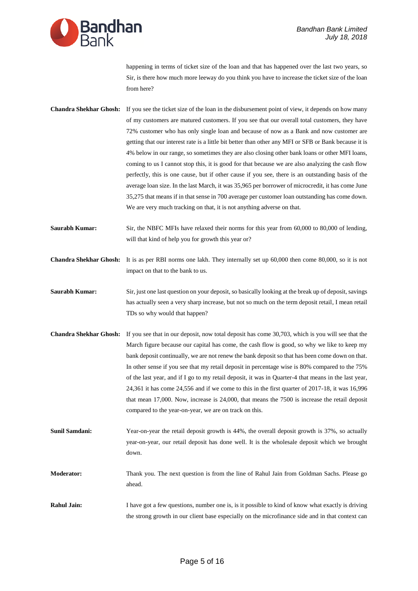

happening in terms of ticket size of the loan and that has happened over the last two years, so Sir, is there how much more leeway do you think you have to increase the ticket size of the loan from here?

**Chandra Shekhar Ghosh:** If you see the ticket size of the loan in the disbursement point of view, it depends on how many of my customers are matured customers. If you see that our overall total customers, they have 72% customer who has only single loan and because of now as a Bank and now customer are getting that our interest rate is a little bit better than other any MFI or SFB or Bank because it is 4% below in our range, so sometimes they are also closing other bank loans or other MFI loans, coming to us I cannot stop this, it is good for that because we are also analyzing the cash flow perfectly, this is one cause, but if other cause if you see, there is an outstanding basis of the average loan size. In the last March, it was 35,965 per borrower of microcredit, it has come June 35,275 that means if in that sense in 700 average per customer loan outstanding has come down. We are very much tracking on that, it is not anything adverse on that.

**Saurabh Kumar:** Sir, the NBFC MFIs have relaxed their norms for this year from 60,000 to 80,000 of lending, will that kind of help you for growth this year or?

**Chandra Shekhar Ghosh:** It is as per RBI norms one lakh. They internally set up 60,000 then come 80,000, so it is not impact on that to the bank to us.

- **Saurabh Kumar:** Sir, just one last question on your deposit, so basically looking at the break up of deposit, savings has actually seen a very sharp increase, but not so much on the term deposit retail, I mean retail TDs so why would that happen?
- **Chandra Shekhar Ghosh:** If you see that in our deposit, now total deposit has come 30,703, which is you will see that the March figure because our capital has come, the cash flow is good, so why we like to keep my bank deposit continually, we are not renew the bank deposit so that has been come down on that. In other sense if you see that my retail deposit in percentage wise is 80% compared to the 75% of the last year, and if I go to my retail deposit, it was in Quarter-4 that means in the last year, 24,361 it has come 24,556 and if we come to this in the first quarter of 2017-18, it was 16,996 that mean 17,000. Now, increase is 24,000, that means the 7500 is increase the retail deposit compared to the year-on-year, we are on track on this.
- **Sunil Samdani:** Year-on-year the retail deposit growth is 44%, the overall deposit growth is 37%, so actually year-on-year, our retail deposit has done well. It is the wholesale deposit which we brought down.

**Moderator:** Thank you. The next question is from the line of Rahul Jain from Goldman Sachs. Please go ahead.

**Rahul Jain:** I have got a few questions, number one is, is it possible to kind of know what exactly is driving the strong growth in our client base especially on the microfinance side and in that context can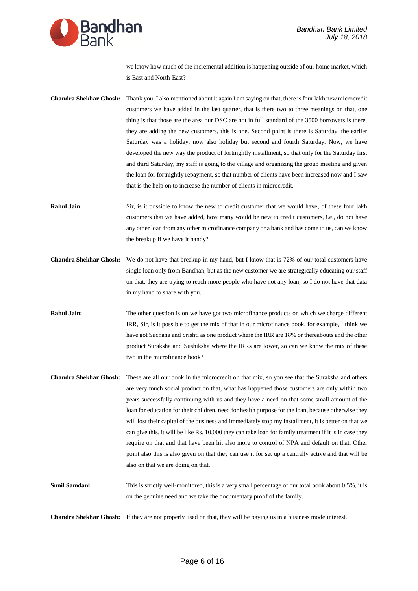

we know how much of the incremental addition is happening outside of our home market, which is East and North-East?

- **Chandra Shekhar Ghosh:** Thank you. I also mentioned about it again I am saying on that, there is four lakh new microcredit customers we have added in the last quarter, that is there two to three meanings on that, one thing is that those are the area our DSC are not in full standard of the 3500 borrowers is there, they are adding the new customers, this is one. Second point is there is Saturday, the earlier Saturday was a holiday, now also holiday but second and fourth Saturday. Now, we have developed the new way the product of fortnightly installment, so that only for the Saturday first and third Saturday, my staff is going to the village and organizing the group meeting and given the loan for fortnightly repayment, so that number of clients have been increased now and I saw that is the help on to increase the number of clients in microcredit.
- **Rahul Jain:** Sir, is it possible to know the new to credit customer that we would have, of these four lakh customers that we have added, how many would be new to credit customers, i.e., do not have any other loan from any other microfinance company or a bank and has come to us, can we know the breakup if we have it handy?
- **Chandra Shekhar Ghosh:** We do not have that breakup in my hand, but I know that is 72% of our total customers have single loan only from Bandhan, but as the new customer we are strategically educating our staff on that, they are trying to reach more people who have not any loan, so I do not have that data in my hand to share with you.
- **Rahul Jain:** The other question is on we have got two microfinance products on which we charge different IRR, Sir, is it possible to get the mix of that in our microfinance book, for example, I think we have got Suchana and Srishti as one product where the IRR are 18% or thereabouts and the other product Suraksha and Sushiksha where the IRRs are lower, so can we know the mix of these two in the microfinance book?
- **Chandra Shekhar Ghosh:** These are all our book in the microcredit on that mix, so you see that the Suraksha and others are very much social product on that, what has happened those customers are only within two years successfully continuing with us and they have a need on that some small amount of the loan for education for their children, need for health purpose for the loan, because otherwise they will lost their capital of the business and immediately stop my installment, it is better on that we can give this, it will be like Rs. 10,000 they can take loan for family treatment if it is in case they require on that and that have been hit also more to control of NPA and default on that. Other point also this is also given on that they can use it for set up a centrally active and that will be also on that we are doing on that.
- **Sunil Samdani:** This is strictly well-monitored, this is a very small percentage of our total book about 0.5%, it is on the genuine need and we take the documentary proof of the family.

**Chandra Shekhar Ghosh:** If they are not properly used on that, they will be paying us in a business mode interest.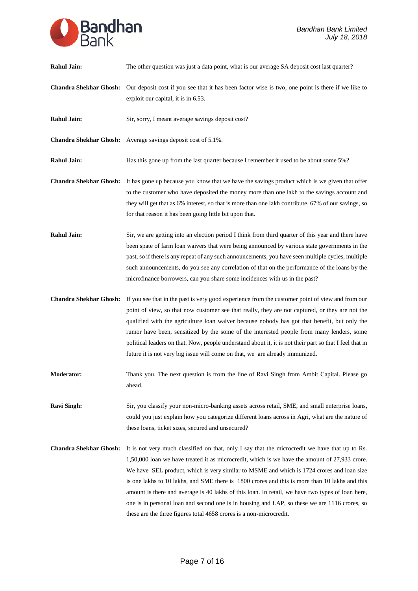

| <b>Rahul Jain:</b>            | The other question was just a data point, what is our average SA deposit cost last quarter?                                                                                                                                                                                                                                                                                                                                                                                                                                                                                                                                                                                |
|-------------------------------|----------------------------------------------------------------------------------------------------------------------------------------------------------------------------------------------------------------------------------------------------------------------------------------------------------------------------------------------------------------------------------------------------------------------------------------------------------------------------------------------------------------------------------------------------------------------------------------------------------------------------------------------------------------------------|
| <b>Chandra Shekhar Ghosh:</b> | Our deposit cost if you see that it has been factor wise is two, one point is there if we like to<br>exploit our capital, it is in 6.53.                                                                                                                                                                                                                                                                                                                                                                                                                                                                                                                                   |
| <b>Rahul Jain:</b>            | Sir, sorry, I meant average savings deposit cost?                                                                                                                                                                                                                                                                                                                                                                                                                                                                                                                                                                                                                          |
|                               | Chandra Shekhar Ghosh: Average savings deposit cost of 5.1%.                                                                                                                                                                                                                                                                                                                                                                                                                                                                                                                                                                                                               |
| <b>Rahul Jain:</b>            | Has this gone up from the last quarter because I remember it used to be about some 5%?                                                                                                                                                                                                                                                                                                                                                                                                                                                                                                                                                                                     |
| <b>Chandra Shekhar Ghosh:</b> | It has gone up because you know that we have the savings product which is we given that offer<br>to the customer who have deposited the money more than one lakh to the savings account and<br>they will get that as 6% interest, so that is more than one lakh contribute, 67% of our savings, so<br>for that reason it has been going little bit upon that.                                                                                                                                                                                                                                                                                                              |
| <b>Rahul Jain:</b>            | Sir, we are getting into an election period I think from third quarter of this year and there have<br>been spate of farm loan waivers that were being announced by various state governments in the<br>past, so if there is any repeat of any such announcements, you have seen multiple cycles, multiple<br>such announcements, do you see any correlation of that on the performance of the loans by the<br>microfinance borrowers, can you share some incidences with us in the past?                                                                                                                                                                                   |
| <b>Chandra Shekhar Ghosh:</b> | If you see that in the past is very good experience from the customer point of view and from our<br>point of view, so that now customer see that really, they are not captured, or they are not the<br>qualified with the agriculture loan waiver because nobody has got that benefit, but only the<br>rumor have been, sensitized by the some of the interested people from many lenders, some<br>political leaders on that. Now, people understand about it, it is not their part so that I feel that in<br>future it is not very big issue will come on that, we are already immunized.                                                                                 |
| <b>Moderator:</b>             | Thank you. The next question is from the line of Ravi Singh from Ambit Capital. Please go<br>ahead.                                                                                                                                                                                                                                                                                                                                                                                                                                                                                                                                                                        |
| <b>Ravi Singh:</b>            | Sir, you classify your non-micro-banking assets across retail, SME, and small enterprise loans,<br>could you just explain how you categorize different loans across in Agri, what are the nature of<br>these loans, ticket sizes, secured and unsecured?                                                                                                                                                                                                                                                                                                                                                                                                                   |
| <b>Chandra Shekhar Ghosh:</b> | It is not very much classified on that, only I say that the microcredit we have that up to Rs.<br>1,50,000 loan we have treated it as microcredit, which is we have the amount of 27,933 crore.<br>We have SEL product, which is very similar to MSME and which is 1724 crores and loan size<br>is one lakhs to 10 lakhs, and SME there is 1800 crores and this is more than 10 lakhs and this<br>amount is there and average is 40 lakhs of this loan. In retail, we have two types of loan here,<br>one is in personal loan and second one is in housing and LAP, so these we are 1116 crores, so<br>these are the three figures total 4658 crores is a non-microcredit. |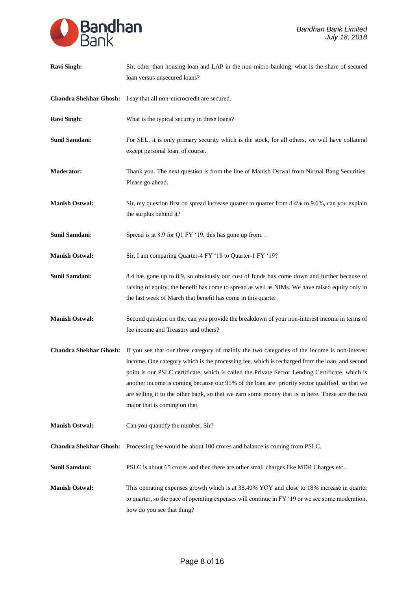| <b>Ravi Singh:</b>            | Sir, other than housing loan and LAP in the non-micro-banking, what is the share of secured<br>loan versus unsecured loans?                                                                                                                                                                                                                                                                                                                                                                                                                                     |
|-------------------------------|-----------------------------------------------------------------------------------------------------------------------------------------------------------------------------------------------------------------------------------------------------------------------------------------------------------------------------------------------------------------------------------------------------------------------------------------------------------------------------------------------------------------------------------------------------------------|
|                               | Chandra Shekhar Ghosh: I say that all non-microcredit are secured.                                                                                                                                                                                                                                                                                                                                                                                                                                                                                              |
| <b>Ravi Singh:</b>            | What is the typical security in these loans?                                                                                                                                                                                                                                                                                                                                                                                                                                                                                                                    |
| <b>Sunil Samdani:</b>         | For SEL, it is only primary security which is the stock, for all others, we will have collateral<br>except personal loan, of course.                                                                                                                                                                                                                                                                                                                                                                                                                            |
| <b>Moderator:</b>             | Thank you. The next question is from the line of Manish Ostwal from Nirmal Bang Securities.<br>Please go ahead.                                                                                                                                                                                                                                                                                                                                                                                                                                                 |
| <b>Manish Ostwal:</b>         | Sir, my question first on spread increase quarter to quarter from 8.4% to 9.6%, can you explain<br>the surplus behind it?                                                                                                                                                                                                                                                                                                                                                                                                                                       |
| Sunil Samdani:                | Spread is at 8.9 for Q1 FY '19, this has gone up from                                                                                                                                                                                                                                                                                                                                                                                                                                                                                                           |
| <b>Manish Ostwal:</b>         | Sir, I am comparing Quarter-4 FY '18 to Quarter-1 FY '19?                                                                                                                                                                                                                                                                                                                                                                                                                                                                                                       |
| Sunil Samdani:                | 8.4 has gone up to 8.9, so obviously our cost of funds has come down and further because of<br>raising of equity, the benefit has come to spread as well as NIMs. We have raised equity only in<br>the last week of March that benefit has come in this quarter.                                                                                                                                                                                                                                                                                                |
| <b>Manish Ostwal:</b>         | Second question on the, can you provide the breakdown of your non-interest income in terms of<br>fee income and Treasury and others?                                                                                                                                                                                                                                                                                                                                                                                                                            |
|                               | Chandra Shekhar Ghosh: If you see that our three category of mainly the two categories of the income is non-interest<br>income. One category which is the processing fee, which is recharged from the loan, and second<br>point is our PSLC certificate, which is called the Private Sector Lending Certificate, which is<br>another income is coming because our 95% of the loan are priority sector qualified, so that we<br>are selling it to the other bank, so that we earn some money that is in here. These are the two<br>major that is coming on that. |
| <b>Manish Ostwal:</b>         | Can you quantify the number, Sir?                                                                                                                                                                                                                                                                                                                                                                                                                                                                                                                               |
| <b>Chandra Shekhar Ghosh:</b> | Processing fee would be about 100 crores and balance is coming from PSLC.                                                                                                                                                                                                                                                                                                                                                                                                                                                                                       |
| Sunil Samdani:                | PSLC is about 65 crores and then there are other small charges like MDR Charges etc                                                                                                                                                                                                                                                                                                                                                                                                                                                                             |
| <b>Manish Ostwal:</b>         | This operating expenses growth which is at 38.49% YOY and close to 18% increase in quarter<br>to quarter, so the pace of operating expenses will continue in FY '19 or we see some moderation,<br>how do you see that thing?                                                                                                                                                                                                                                                                                                                                    |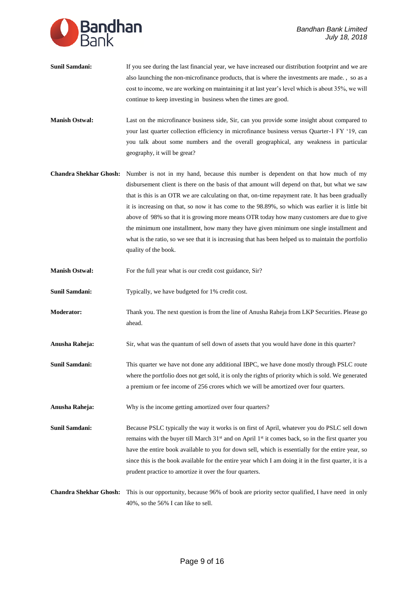

- **Sunil Samdani:** If you see during the last financial year, we have increased our distribution footprint and we are also launching the non-microfinance products, that is where the investments are made. , so as a cost to income, we are working on maintaining it at last year's level which is about 35%, we will continue to keep investing in business when the times are good.
- **Manish Ostwal:** Last on the microfinance business side, Sir, can you provide some insight about compared to your last quarter collection efficiency in microfinance business versus Quarter-1 FY '19, can you talk about some numbers and the overall geographical, any weakness in particular geography, it will be great?
- **Chandra Shekhar Ghosh:** Number is not in my hand, because this number is dependent on that how much of my disbursement client is there on the basis of that amount will depend on that, but what we saw that is this is an OTR we are calculating on that, on-time repayment rate. It has been gradually it is increasing on that, so now it has come to the 98.89%, so which was earlier it is little bit above of 98% so that it is growing more means OTR today how many customers are due to give the minimum one installment, how many they have given minimum one single installment and what is the ratio, so we see that it is increasing that has been helped us to maintain the portfolio quality of the book.
- **Manish Ostwal:** For the full year what is our credit cost guidance, Sir?
- **Sunil Samdani:** Typically, we have budgeted for 1% credit cost.
- **Moderator:** Thank you. The next question is from the line of Anusha Raheja from LKP Securities. Please go ahead.
- **Anusha Raheja:** Sir, what was the quantum of sell down of assets that you would have done in this quarter?
- **Sunil Samdani:** This quarter we have not done any additional IBPC, we have done mostly through PSLC route where the portfolio does not get sold, it is only the rights of priority which is sold. We generated a premium or fee income of 256 crores which we will be amortized over four quarters.
- **Anusha Raheja:** Why is the income getting amortized over four quarters?

**Sunil Samdani:** Because PSLC typically the way it works is on first of April, whatever you do PSLC sell down remains with the buyer till March  $31<sup>st</sup>$  and on April  $1<sup>st</sup>$  it comes back, so in the first quarter you have the entire book available to you for down sell, which is essentially for the entire year, so since this is the book available for the entire year which I am doing it in the first quarter, it is a prudent practice to amortize it over the four quarters.

**Chandra Shekhar Ghosh:** This is our opportunity, because 96% of book are priority sector qualified, I have need in only 40%, so the 56% I can like to sell.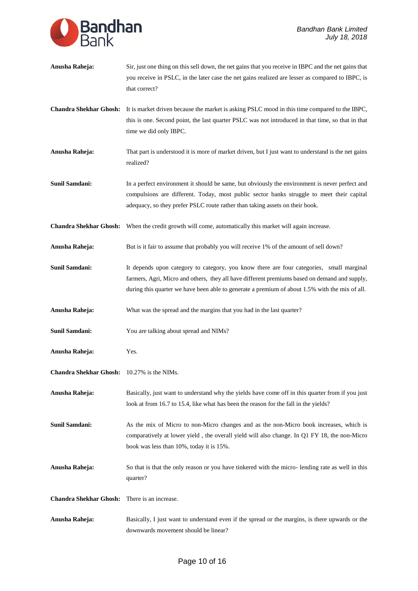

| Anusha Raheja:                                    | Sir, just one thing on this sell down, the net gains that you receive in IBPC and the net gains that<br>you receive in PSLC, in the later case the net gains realized are lesser as compared to IBPC, is<br>that correct?                                                                   |
|---------------------------------------------------|---------------------------------------------------------------------------------------------------------------------------------------------------------------------------------------------------------------------------------------------------------------------------------------------|
| <b>Chandra Shekhar Ghosh:</b>                     | It is market driven because the market is asking PSLC mood in this time compared to the IBPC,<br>this is one. Second point, the last quarter PSLC was not introduced in that time, so that in that<br>time we did only IBPC.                                                                |
| Anusha Raheja:                                    | That part is understood it is more of market driven, but I just want to understand is the net gains<br>realized?                                                                                                                                                                            |
| <b>Sunil Samdani:</b>                             | In a perfect environment it should be same, but obviously the environment is never perfect and<br>compulsions are different. Today, most public sector banks struggle to meet their capital<br>adequacy, so they prefer PSLC route rather than taking assets on their book.                 |
|                                                   | Chandra Shekhar Ghosh: When the credit growth will come, automatically this market will again increase.                                                                                                                                                                                     |
| Anusha Raheja:                                    | But is it fair to assume that probably you will receive 1% of the amount of sell down?                                                                                                                                                                                                      |
| <b>Sunil Samdani:</b>                             | It depends upon category to category, you know there are four categories, small marginal<br>farmers, Agri, Micro and others, they all have different premiums based on demand and supply,<br>during this quarter we have been able to generate a premium of about 1.5% with the mix of all. |
| Anusha Raheja:                                    | What was the spread and the margins that you had in the last quarter?                                                                                                                                                                                                                       |
| Sunil Samdani:                                    | You are talking about spread and NIMs?                                                                                                                                                                                                                                                      |
| Anusha Raheja:                                    | Yes.                                                                                                                                                                                                                                                                                        |
| <b>Chandra Shekhar Ghosh:</b> 10.27% is the NIMs. |                                                                                                                                                                                                                                                                                             |
| Anusha Raheja:                                    | Basically, just want to understand why the yields have come off in this quarter from if you just<br>look at from 16.7 to 15.4, like what has been the reason for the fall in the yields?                                                                                                    |
| <b>Sunil Samdani:</b>                             | As the mix of Micro to non-Micro changes and as the non-Micro book increases, which is<br>comparatively at lower yield, the overall yield will also change. In Q1 FY 18, the non-Micro<br>book was less than 10%, today it is 15%.                                                          |
| Anusha Raheja:                                    | So that is that the only reason or you have tinkered with the micro-lending rate as well in this<br>quarter?                                                                                                                                                                                |
| <b>Chandra Shekhar Ghosh:</b>                     | There is an increase.                                                                                                                                                                                                                                                                       |
| Anusha Raheja:                                    | Basically, I just want to understand even if the spread or the margins, is there upwards or the<br>downwards movement should be linear?                                                                                                                                                     |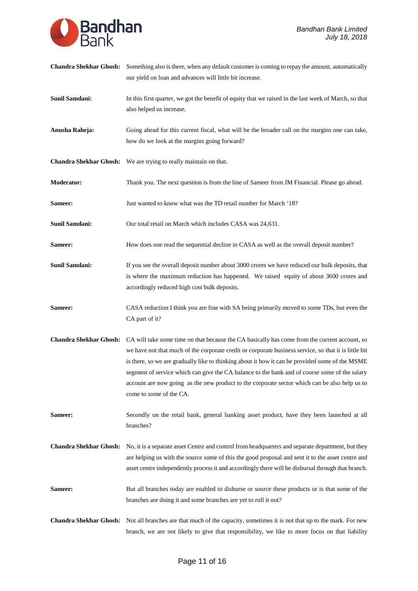

| <b>Chandra Shekhar Ghosh:</b> | Something also is there, when any default customer is coming to repay the amount, automatically<br>our yield on loan and advances will little bit increase.                                                                                                                                                                                                                                                                                                                                                                            |
|-------------------------------|----------------------------------------------------------------------------------------------------------------------------------------------------------------------------------------------------------------------------------------------------------------------------------------------------------------------------------------------------------------------------------------------------------------------------------------------------------------------------------------------------------------------------------------|
| <b>Sunil Samdani:</b>         | In this first quarter, we got the benefit of equity that we raised in the last week of March, so that<br>also helped us increase.                                                                                                                                                                                                                                                                                                                                                                                                      |
| Anusha Raheja:                | Going ahead for this current fiscal, what will be the broader call on the margins one can take,<br>how do we look at the margins going forward?                                                                                                                                                                                                                                                                                                                                                                                        |
|                               | <b>Chandra Shekhar Ghosh:</b> We are trying to really maintain on that.                                                                                                                                                                                                                                                                                                                                                                                                                                                                |
| Moderator:                    | Thank you. The next question is from the line of Sameer from JM Financial. Please go ahead.                                                                                                                                                                                                                                                                                                                                                                                                                                            |
| Sameer:                       | Just wanted to know what was the TD retail number for March '18?                                                                                                                                                                                                                                                                                                                                                                                                                                                                       |
| <b>Sunil Samdani:</b>         | Our total retail on March which includes CASA was 24,631.                                                                                                                                                                                                                                                                                                                                                                                                                                                                              |
| Sameer:                       | How does one read the sequential decline in CASA as well as the overall deposit number?                                                                                                                                                                                                                                                                                                                                                                                                                                                |
| Sunil Samdani:                | If you see the overall deposit number about 3000 crores we have reduced our bulk deposits, that<br>is where the maximum reduction has happened. We raised equity of about 3600 crores and<br>accordingly reduced high cost bulk deposits.                                                                                                                                                                                                                                                                                              |
| Sameer:                       | CASA reduction I think you are fine with SA being primarily moved to some TDs, but even the<br>CA part of it?                                                                                                                                                                                                                                                                                                                                                                                                                          |
| <b>Chandra Shekhar Ghosh:</b> | CA will take some time on that because the CA basically has come from the current account, so<br>we have not that much of the corporate credit or corporate business service, so that it is little bit<br>is there, so we are gradually like to thinking about it how it can be provided some of the MSME<br>segment of service which can give the CA balance to the bank and of course some of the salary<br>account are now going as the new product to the corporate sector which can be also help us to<br>come to some of the CA. |
| Sameer:                       | Secondly on the retail bank, general banking asset product, have they been launched at all<br>branches?                                                                                                                                                                                                                                                                                                                                                                                                                                |
| <b>Chandra Shekhar Ghosh:</b> | No, it is a separate asset Centre and control from headquarters and separate department, but they<br>are helping us with the source some of this the good proposal and sent it to the asset centre and<br>asset centre independently process it and accordingly there will be disbursal through that branch.                                                                                                                                                                                                                           |
| Sameer:                       | But all branches today are enabled to disburse or source these products or is that some of the<br>branches are doing it and some branches are yet to roll it out?                                                                                                                                                                                                                                                                                                                                                                      |
| <b>Chandra Shekhar Ghosh:</b> | Not all branches are that much of the capacity, sometimes it is not that up to the mark. For new<br>branch, we are not likely to give that responsibility, we like to more focus on that liability                                                                                                                                                                                                                                                                                                                                     |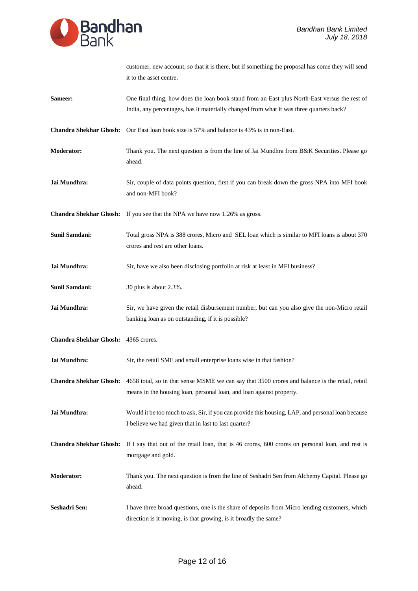

|                                     | customer, new account, so that it is there, but if something the proposal has come they will send<br>it to the asset centre.                                                                   |
|-------------------------------------|------------------------------------------------------------------------------------------------------------------------------------------------------------------------------------------------|
| Sameer:                             | One final thing, how does the loan book stand from an East plus North-East versus the rest of<br>India, any percentages, has it materially changed from what it was three quarters back?       |
|                                     | <b>Chandra Shekhar Ghosh:</b> Our East loan book size is 57% and balance is 43% is in non-East.                                                                                                |
| Moderator:                          | Thank you. The next question is from the line of Jai Mundhra from B&K Securities. Please go<br>ahead.                                                                                          |
| Jai Mundhra:                        | Sir, couple of data points question, first if you can break down the gross NPA into MFI book<br>and non-MFI book?                                                                              |
| <b>Chandra Shekhar Ghosh:</b>       | If you see that the NPA we have now 1.26% as gross.                                                                                                                                            |
| <b>Sunil Samdani:</b>               | Total gross NPA is 388 crores, Micro and SEL loan which is similar to MFI loans is about 370<br>crores and rest are other loans.                                                               |
| Jai Mundhra:                        | Sir, have we also been disclosing portfolio at risk at least in MFI business?                                                                                                                  |
| <b>Sunil Samdani:</b>               | 30 plus is about 2.3%.                                                                                                                                                                         |
| Jai Mundhra:                        | Sir, we have given the retail disbursement number, but can you also give the non-Micro retail<br>banking loan as on outstanding, if it is possible?                                            |
| Chandra Shekhar Ghosh: 4365 crores. |                                                                                                                                                                                                |
| Jai Mundhra:                        | Sir, the retail SME and small enterprise loans wise in that fashion?                                                                                                                           |
|                                     | Chandra Shekhar Ghosh: 4658 total, so in that sense MSME we can say that 3500 crores and balance is the retail, retail<br>means in the housing loan, personal loan, and loan against property. |
| Jai Mundhra:                        | Would it be too much to ask, Sir, if you can provide this housing, LAP, and personal loan because<br>I believe we had given that in last to last quarter?                                      |
| <b>Chandra Shekhar Ghosh:</b>       | If I say that out of the retail loan, that is 46 crores, 600 crores on personal loan, and rest is<br>mortgage and gold.                                                                        |
| Moderator:                          | Thank you. The next question is from the line of Seshadri Sen from Alchemy Capital. Please go<br>ahead.                                                                                        |
| Seshadri Sen:                       | I have three broad questions, one is the share of deposits from Micro lending customers, which<br>direction is it moving, is that growing, is it broadly the same?                             |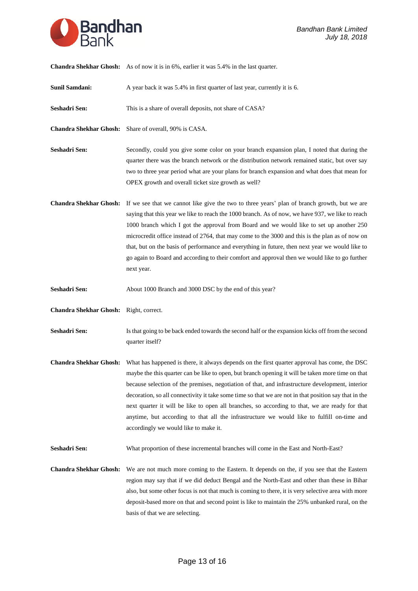

**Chandra Shekhar Ghosh:** As of now it is in 6%, earlier it was 5.4% in the last quarter.

**Sunil Samdani:** A year back it was 5.4% in first quarter of last year, currently it is 6.

Seshadri Sen: This is a share of overall deposits, not share of CASA?

**Chandra Shekhar Ghosh:** Share of overall, 90% is CASA.

- Seshadri Sen: Secondly, could you give some color on your branch expansion plan, I noted that during the quarter there was the branch network or the distribution network remained static, but over say two to three year period what are your plans for branch expansion and what does that mean for OPEX growth and overall ticket size growth as well?
- **Chandra Shekhar Ghosh:** If we see that we cannot like give the two to three years' plan of branch growth, but we are saying that this year we like to reach the 1000 branch. As of now, we have 937, we like to reach 1000 branch which I got the approval from Board and we would like to set up another 250 microcredit office instead of 2764, that may come to the 3000 and this is the plan as of now on that, but on the basis of performance and everything in future, then next year we would like to go again to Board and according to their comfort and approval then we would like to go further next year.
- **Seshadri Sen:** About 1000 Branch and 3000 DSC by the end of this year?
- **Chandra Shekhar Ghosh:** Right, correct.
- **Seshadri Sen:** Is that going to be back ended towards the second half or the expansion kicks off from the second quarter itself?
- **Chandra Shekhar Ghosh:** What has happened is there, it always depends on the first quarter approval has come, the DSC maybe the this quarter can be like to open, but branch opening it will be taken more time on that because selection of the premises, negotiation of that, and infrastructure development, interior decoration, so all connectivity it take some time so that we are not in that position say that in the next quarter it will be like to open all branches, so according to that, we are ready for that anytime, but according to that all the infrastructure we would like to fulfill on-time and accordingly we would like to make it.
- Seshadri Sen: What proportion of these incremental branches will come in the East and North-East?
- **Chandra Shekhar Ghosh:** We are not much more coming to the Eastern. It depends on the, if you see that the Eastern region may say that if we did deduct Bengal and the North-East and other than these in Bihar also, but some other focus is not that much is coming to there, it is very selective area with more deposit-based more on that and second point is like to maintain the 25% unbanked rural, on the basis of that we are selecting.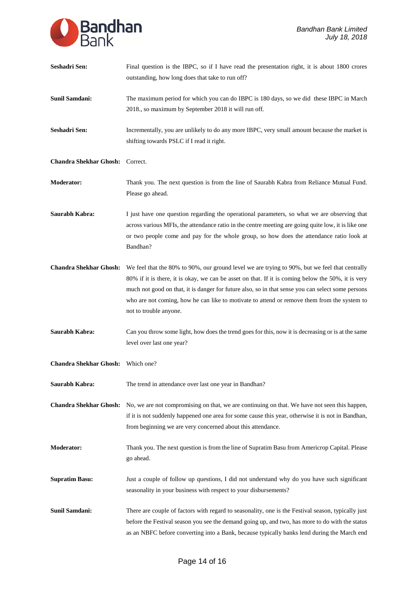

| Seshadri Sen:                 | Final question is the IBPC, so if I have read the presentation right, it is about 1800 crores<br>outstanding, how long does that take to run off?                                                                                                                                                                                                                                                                                  |
|-------------------------------|------------------------------------------------------------------------------------------------------------------------------------------------------------------------------------------------------------------------------------------------------------------------------------------------------------------------------------------------------------------------------------------------------------------------------------|
| Sunil Samdani:                | The maximum period for which you can do IBPC is 180 days, so we did these IBPC in March<br>2018., so maximum by September 2018 it will run off.                                                                                                                                                                                                                                                                                    |
| Seshadri Sen:                 | Incrementally, you are unlikely to do any more IBPC, very small amount because the market is<br>shifting towards PSLC if I read it right.                                                                                                                                                                                                                                                                                          |
| <b>Chandra Shekhar Ghosh:</b> | Correct.                                                                                                                                                                                                                                                                                                                                                                                                                           |
| <b>Moderator:</b>             | Thank you. The next question is from the line of Saurabh Kabra from Reliance Mutual Fund.<br>Please go ahead.                                                                                                                                                                                                                                                                                                                      |
| Saurabh Kabra:                | I just have one question regarding the operational parameters, so what we are observing that<br>across various MFIs, the attendance ratio in the centre meeting are going quite low, it is like one<br>or two people come and pay for the whole group, so how does the attendance ratio look at<br>Bandhan?                                                                                                                        |
| <b>Chandra Shekhar Ghosh:</b> | We feel that the 80% to 90%, our ground level we are trying to 90%, but we feel that centrally<br>80% if it is there, it is okay, we can be asset on that. If it is coming below the 50%, it is very<br>much not good on that, it is danger for future also, so in that sense you can select some persons<br>who are not coming, how he can like to motivate to attend or remove them from the system to<br>not to trouble anyone. |
| Saurabh Kabra:                | Can you throw some light, how does the trend goes for this, now it is decreasing or is at the same<br>level over last one year?                                                                                                                                                                                                                                                                                                    |
| <b>Chandra Shekhar Ghosh:</b> | Which one?                                                                                                                                                                                                                                                                                                                                                                                                                         |
| Saurabh Kabra:                | The trend in attendance over last one year in Bandhan?                                                                                                                                                                                                                                                                                                                                                                             |
| <b>Chandra Shekhar Ghosh:</b> | No, we are not compromising on that, we are continuing on that. We have not seen this happen,<br>if it is not suddenly happened one area for some cause this year, otherwise it is not in Bandhan,<br>from beginning we are very concerned about this attendance.                                                                                                                                                                  |
| <b>Moderator:</b>             | Thank you. The next question is from the line of Supratim Basu from Americrop Capital. Please<br>go ahead.                                                                                                                                                                                                                                                                                                                         |
| <b>Supratim Basu:</b>         | Just a couple of follow up questions, I did not understand why do you have such significant<br>seasonality in your business with respect to your disbursements?                                                                                                                                                                                                                                                                    |
| <b>Sunil Samdani:</b>         | There are couple of factors with regard to seasonality, one is the Festival season, typically just<br>before the Festival season you see the demand going up, and two, has more to do with the status<br>as an NBFC before converting into a Bank, because typically banks lend during the March end                                                                                                                               |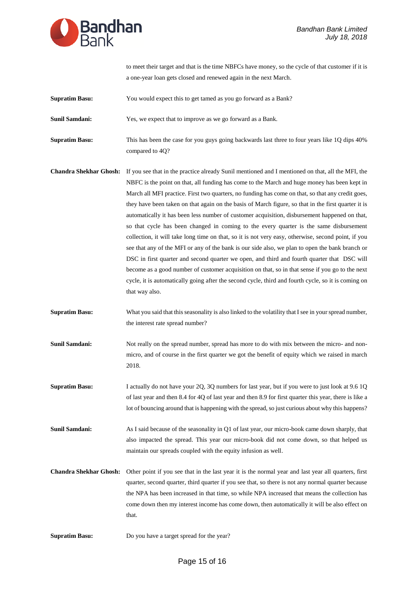

|                               | to meet their target and that is the time NBFCs have money, so the cycle of that customer if it is<br>a one-year loan gets closed and renewed again in the next March.                                                                                                                                                                                                                                                                                                                                                                                                                                                                                                                                                                                                                                                                                                                                                                                                                                                                                                                                                                        |
|-------------------------------|-----------------------------------------------------------------------------------------------------------------------------------------------------------------------------------------------------------------------------------------------------------------------------------------------------------------------------------------------------------------------------------------------------------------------------------------------------------------------------------------------------------------------------------------------------------------------------------------------------------------------------------------------------------------------------------------------------------------------------------------------------------------------------------------------------------------------------------------------------------------------------------------------------------------------------------------------------------------------------------------------------------------------------------------------------------------------------------------------------------------------------------------------|
| <b>Supratim Basu:</b>         | You would expect this to get tamed as you go forward as a Bank?                                                                                                                                                                                                                                                                                                                                                                                                                                                                                                                                                                                                                                                                                                                                                                                                                                                                                                                                                                                                                                                                               |
| Sunil Samdani:                | Yes, we expect that to improve as we go forward as a Bank.                                                                                                                                                                                                                                                                                                                                                                                                                                                                                                                                                                                                                                                                                                                                                                                                                                                                                                                                                                                                                                                                                    |
| <b>Supratim Basu:</b>         | This has been the case for you guys going backwards last three to four years like 1Q dips 40%<br>compared to 4Q?                                                                                                                                                                                                                                                                                                                                                                                                                                                                                                                                                                                                                                                                                                                                                                                                                                                                                                                                                                                                                              |
| <b>Chandra Shekhar Ghosh:</b> | If you see that in the practice already Sunil mentioned and I mentioned on that, all the MFI, the<br>NBFC is the point on that, all funding has come to the March and huge money has been kept in<br>March all MFI practice. First two quarters, no funding has come on that, so that any credit goes,<br>they have been taken on that again on the basis of March figure, so that in the first quarter it is<br>automatically it has been less number of customer acquisition, disbursement happened on that,<br>so that cycle has been changed in coming to the every quarter is the same disbursement<br>collection, it will take long time on that, so it is not very easy, otherwise, second point, if you<br>see that any of the MFI or any of the bank is our side also, we plan to open the bank branch or<br>DSC in first quarter and second quarter we open, and third and fourth quarter that DSC will<br>become as a good number of customer acquisition on that, so in that sense if you go to the next<br>cycle, it is automatically going after the second cycle, third and fourth cycle, so it is coming on<br>that way also. |
| <b>Supratim Basu:</b>         | What you said that this seasonality is also linked to the volatility that I see in your spread number,<br>the interest rate spread number?                                                                                                                                                                                                                                                                                                                                                                                                                                                                                                                                                                                                                                                                                                                                                                                                                                                                                                                                                                                                    |
| Sunil Samdani:                | Not really on the spread number, spread has more to do with mix between the micro- and non-<br>micro, and of course in the first quarter we got the benefit of equity which we raised in march<br>2018.                                                                                                                                                                                                                                                                                                                                                                                                                                                                                                                                                                                                                                                                                                                                                                                                                                                                                                                                       |
| <b>Supratim Basu:</b>         | I actually do not have your 2Q, 3Q numbers for last year, but if you were to just look at 9.6 1Q<br>of last year and then 8.4 for 4Q of last year and then 8.9 for first quarter this year, there is like a<br>lot of bouncing around that is happening with the spread, so just curious about why this happens?                                                                                                                                                                                                                                                                                                                                                                                                                                                                                                                                                                                                                                                                                                                                                                                                                              |
| Sunil Samdani:                | As I said because of the seasonality in Q1 of last year, our micro-book came down sharply, that<br>also impacted the spread. This year our micro-book did not come down, so that helped us<br>maintain our spreads coupled with the equity infusion as well.                                                                                                                                                                                                                                                                                                                                                                                                                                                                                                                                                                                                                                                                                                                                                                                                                                                                                  |
| <b>Chandra Shekhar Ghosh:</b> | Other point if you see that in the last year it is the normal year and last year all quarters, first<br>quarter, second quarter, third quarter if you see that, so there is not any normal quarter because<br>the NPA has been increased in that time, so while NPA increased that means the collection has<br>come down then my interest income has come down, then automatically it will be also effect on<br>that.                                                                                                                                                                                                                                                                                                                                                                                                                                                                                                                                                                                                                                                                                                                         |

**Supratim Basu:** Do you have a target spread for the year?